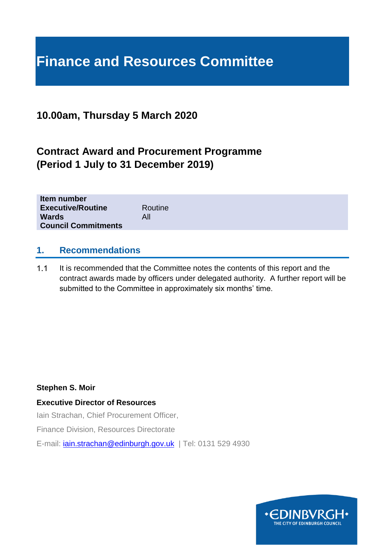# **Finance and Resources Committee**

# **10.00am, Thursday 5 March 2020**

# **Contract Award and Procurement Programme (Period 1 July to 31 December 2019)**

| Item number<br><b>Executive/Routine</b> | Routine |
|-----------------------------------------|---------|
| <b>Wards</b>                            | All     |
| <b>Council Commitments</b>              |         |

#### **1. Recommendations**

 $1.1$ It is recommended that the Committee notes the contents of this report and the contract awards made by officers under delegated authority. A further report will be submitted to the Committee in approximately six months' time.

#### **Stephen S. Moir**

#### **Executive Director of Resources**

Iain Strachan, Chief Procurement Officer,

Finance Division, Resources Directorate

E-mail: *[iain.strachan@edinburgh.gov.uk](mailto:iain.strachan@edinburgh.gov.uk)* | Tel: 0131 529 4930

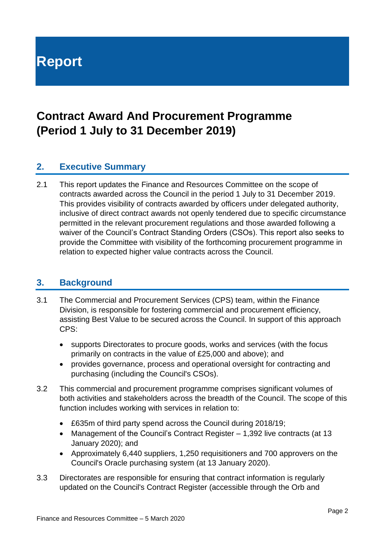# **Report**

# **Contract Award And Procurement Programme (Period 1 July to 31 December 2019)**

# **2. Executive Summary**

2.1 This report updates the Finance and Resources Committee on the scope of contracts awarded across the Council in the period 1 July to 31 December 2019. This provides visibility of contracts awarded by officers under delegated authority, inclusive of direct contract awards not openly tendered due to specific circumstance permitted in the relevant procurement regulations and those awarded following a waiver of the Council's Contract Standing Orders (CSOs). This report also seeks to provide the Committee with visibility of the forthcoming procurement programme in relation to expected higher value contracts across the Council.

## **3. Background**

- 3.1 The Commercial and Procurement Services (CPS) team, within the Finance Division, is responsible for fostering commercial and procurement efficiency, assisting Best Value to be secured across the Council. In support of this approach CPS:
	- supports Directorates to procure goods, works and services (with the focus primarily on contracts in the value of £25,000 and above); and
	- provides governance, process and operational oversight for contracting and purchasing (including the Council's CSOs).
- 3.2 This commercial and procurement programme comprises significant volumes of both activities and stakeholders across the breadth of the Council. The scope of this function includes working with services in relation to:
	- £635m of third party spend across the Council during 2018/19;
	- Management of the Council's Contract Register 1,392 live contracts (at 13 January 2020); and
	- Approximately 6,440 suppliers, 1,250 requisitioners and 700 approvers on the Council's Oracle purchasing system (at 13 January 2020).
- 3.3 Directorates are responsible for ensuring that contract information is regularly updated on the Council's Contract Register (accessible through the Orb and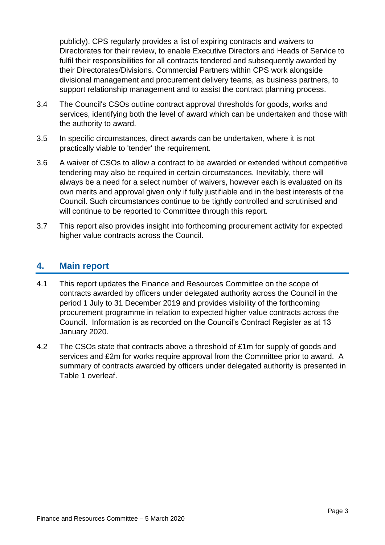publicly). CPS regularly provides a list of expiring contracts and waivers to Directorates for their review, to enable Executive Directors and Heads of Service to fulfil their responsibilities for all contracts tendered and subsequently awarded by their Directorates/Divisions. Commercial Partners within CPS work alongside divisional management and procurement delivery teams, as business partners, to support relationship management and to assist the contract planning process.

- 3.4 The Council's CSOs outline contract approval thresholds for goods, works and services, identifying both the level of award which can be undertaken and those with the authority to award.
- 3.5 In specific circumstances, direct awards can be undertaken, where it is not practically viable to 'tender' the requirement.
- 3.6 A waiver of CSOs to allow a contract to be awarded or extended without competitive tendering may also be required in certain circumstances. Inevitably, there will always be a need for a select number of waivers, however each is evaluated on its own merits and approval given only if fully justifiable and in the best interests of the Council. Such circumstances continue to be tightly controlled and scrutinised and will continue to be reported to Committee through this report.
- 3.7 This report also provides insight into forthcoming procurement activity for expected higher value contracts across the Council.

# **4. Main report**

- 4.1 This report updates the Finance and Resources Committee on the scope of contracts awarded by officers under delegated authority across the Council in the period 1 July to 31 December 2019 and provides visibility of the forthcoming procurement programme in relation to expected higher value contracts across the Council. Information is as recorded on the Council's Contract Register as at 13 January 2020.
- 4.2 The CSOs state that contracts above a threshold of £1m for supply of goods and services and £2m for works require approval from the Committee prior to award. A summary of contracts awarded by officers under delegated authority is presented in Table 1 overleaf.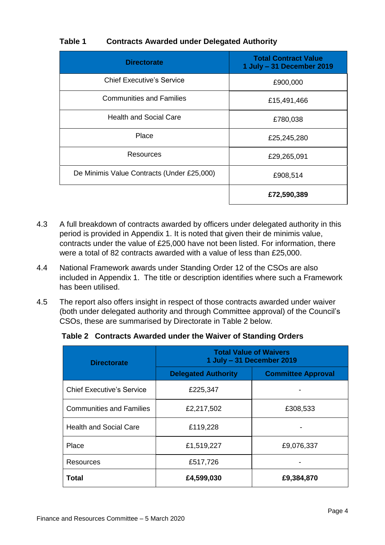#### **Table 1 Contracts Awarded under Delegated Authority**

| <b>Directorate</b>                         | <b>Total Contract Value</b><br>1 July - 31 December 2019 |
|--------------------------------------------|----------------------------------------------------------|
| <b>Chief Executive's Service</b>           | £900,000                                                 |
| <b>Communities and Families</b>            | £15,491,466                                              |
| <b>Health and Social Care</b>              | £780,038                                                 |
| Place                                      | £25,245,280                                              |
| Resources                                  | £29,265,091                                              |
| De Minimis Value Contracts (Under £25,000) | £908,514                                                 |
|                                            | £72,590,389                                              |

- 4.3 A full breakdown of contracts awarded by officers under delegated authority in this period is provided in Appendix 1. It is noted that given their de minimis value, contracts under the value of £25,000 have not been listed. For information, there were a total of 82 contracts awarded with a value of less than £25,000.
- 4.4 National Framework awards under Standing Order 12 of the CSOs are also included in Appendix 1. The title or description identifies where such a Framework has been utilised.
- 4.5 The report also offers insight in respect of those contracts awarded under waiver (both under delegated authority and through Committee approval) of the Council's CSOs, these are summarised by Directorate in Table 2 below.

**Table 2 Contracts Awarded under the Waiver of Standing Orders**

| <b>Directorate</b>               | <b>Total Value of Waivers</b><br>1 July - 31 December 2019 |                           |  |
|----------------------------------|------------------------------------------------------------|---------------------------|--|
|                                  | <b>Delegated Authority</b>                                 | <b>Committee Approval</b> |  |
| <b>Chief Executive's Service</b> | £225,347                                                   |                           |  |
| <b>Communities and Families</b>  | £2,217,502                                                 | £308,533                  |  |
| <b>Health and Social Care</b>    | £119,228                                                   |                           |  |
| Place                            | £1,519,227                                                 | £9,076,337                |  |
| Resources                        | £517,726                                                   |                           |  |
| Total                            | £4,599,030                                                 | £9,384,870                |  |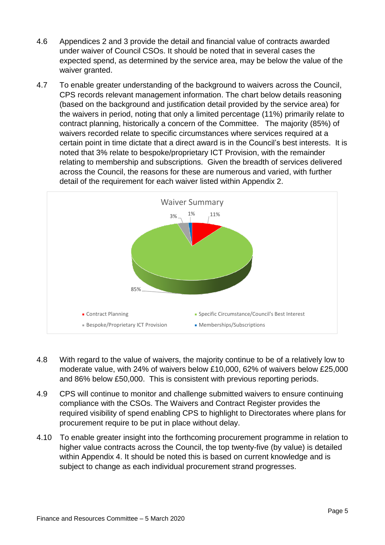- 4.6 Appendices 2 and 3 provide the detail and financial value of contracts awarded under waiver of Council CSOs. It should be noted that in several cases the expected spend, as determined by the service area, may be below the value of the waiver granted.
- 4.7 To enable greater understanding of the background to waivers across the Council, CPS records relevant management information. The chart below details reasoning (based on the background and justification detail provided by the service area) for the waivers in period, noting that only a limited percentage (11%) primarily relate to contract planning, historically a concern of the Committee. The majority (85%) of waivers recorded relate to specific circumstances where services required at a certain point in time dictate that a direct award is in the Council's best interests. It is noted that 3% relate to bespoke/proprietary ICT Provision, with the remainder relating to membership and subscriptions. Given the breadth of services delivered across the Council, the reasons for these are numerous and varied, with further detail of the requirement for each waiver listed within Appendix 2.



- 4.8 With regard to the value of waivers, the majority continue to be of a relatively low to moderate value, with 24% of waivers below £10,000, 62% of waivers below £25,000 and 86% below £50,000. This is consistent with previous reporting periods.
- 4.9 CPS will continue to monitor and challenge submitted waivers to ensure continuing compliance with the CSOs. The Waivers and Contract Register provides the required visibility of spend enabling CPS to highlight to Directorates where plans for procurement require to be put in place without delay.
- 4.10 To enable greater insight into the forthcoming procurement programme in relation to higher value contracts across the Council, the top twenty-five (by value) is detailed within Appendix 4. It should be noted this is based on current knowledge and is subject to change as each individual procurement strand progresses.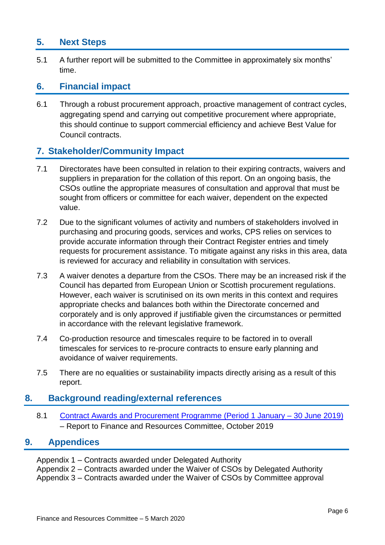# **5. Next Steps**

5.1 A further report will be submitted to the Committee in approximately six months' time.

## **6. Financial impact**

6.1 Through a robust procurement approach, proactive management of contract cycles, aggregating spend and carrying out competitive procurement where appropriate, this should continue to support commercial efficiency and achieve Best Value for Council contracts.

## **7. Stakeholder/Community Impact**

- 7.1 Directorates have been consulted in relation to their expiring contracts, waivers and suppliers in preparation for the collation of this report. On an ongoing basis, the CSOs outline the appropriate measures of consultation and approval that must be sought from officers or committee for each waiver, dependent on the expected value.
- 7.2 Due to the significant volumes of activity and numbers of stakeholders involved in purchasing and procuring goods, services and works, CPS relies on services to provide accurate information through their Contract Register entries and timely requests for procurement assistance. To mitigate against any risks in this area, data is reviewed for accuracy and reliability in consultation with services.
- 7.3 A waiver denotes a departure from the CSOs. There may be an increased risk if the Council has departed from European Union or Scottish procurement regulations. However, each waiver is scrutinised on its own merits in this context and requires appropriate checks and balances both within the Directorate concerned and corporately and is only approved if justifiable given the circumstances or permitted in accordance with the relevant legislative framework.
- 7.4 Co-production resource and timescales require to be factored in to overall timescales for services to re-procure contracts to ensure early planning and avoidance of waiver requirements.
- 7.5 There are no equalities or sustainability impacts directly arising as a result of this report.

## **8. Background reading/external references**

8.1 [Contract Awards and Procurement Programme \(Period 1 January –](https://democracy.edinburgh.gov.uk/ieListDocuments.aspx?CId=140&MId=346&Ver=4) 30 June 2019) – Report to Finance and Resources Committee, October 2019

## **9. Appendices**

Appendix 1 – Contracts awarded under Delegated Authority Appendix 2 – Contracts awarded under the Waiver of CSOs by Delegated Authority Appendix 3 – Contracts awarded under the Waiver of CSOs by Committee approval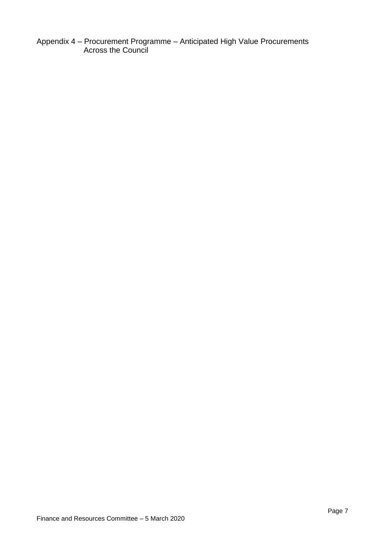Appendix 4 – Procurement Programme – Anticipated High Value Procurements Across the Council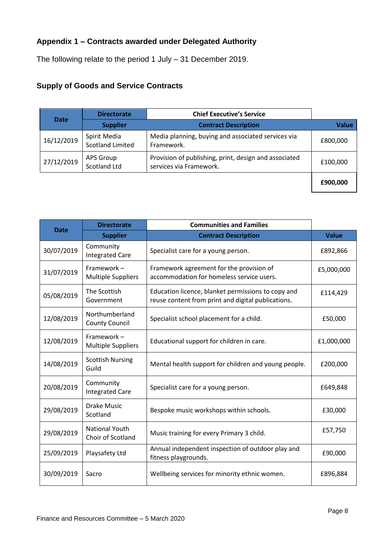# **Appendix 1 – Contracts awarded under Delegated Authority**

The following relate to the period 1 July – 31 December 2019.

# **Supply of Goods and Service Contracts**

| <b>Date</b> | <b>Directorate</b>                      | <b>Chief Executive's Service</b>                                                 |              |
|-------------|-----------------------------------------|----------------------------------------------------------------------------------|--------------|
|             | <b>Supplier</b>                         | <b>Contract Description</b>                                                      | <b>Value</b> |
| 16/12/2019  | Spirit Media<br><b>Scotland Limited</b> | Media planning, buying and associated services via<br>Framework.                 | £800,000     |
| 27/12/2019  | APS Group<br>Scotland Ltd               | Provision of publishing, print, design and associated<br>services via Framework. | £100,000     |
|             |                                         |                                                                                  | £900,000     |

|             | <b>Directorate</b>                         | <b>Communities and Families</b>                                                                          |              |
|-------------|--------------------------------------------|----------------------------------------------------------------------------------------------------------|--------------|
| <b>Date</b> | <b>Supplier</b>                            | <b>Contract Description</b>                                                                              | <b>Value</b> |
| 30/07/2019  | Community<br><b>Integrated Care</b>        | Specialist care for a young person.                                                                      | £892,866     |
| 31/07/2019  | Framework-<br><b>Multiple Suppliers</b>    | Framework agreement for the provision of<br>accommodation for homeless service users.                    | £5,000,000   |
| 05/08/2019  | The Scottish<br>Government                 | Education licence, blanket permissions to copy and<br>reuse content from print and digital publications. | £114,429     |
| 12/08/2019  | Northumberland<br><b>County Council</b>    | Specialist school placement for a child.                                                                 | £50,000      |
| 12/08/2019  | Framework-<br><b>Multiple Suppliers</b>    | Educational support for children in care.                                                                | £1,000,000   |
| 14/08/2019  | <b>Scottish Nursing</b><br>Guild           | Mental health support for children and young people.                                                     | £200,000     |
| 20/08/2019  | Community<br><b>Integrated Care</b>        | Specialist care for a young person.                                                                      | £649,848     |
| 29/08/2019  | <b>Drake Music</b><br>Scotland             | Bespoke music workshops within schools.                                                                  | £30,000      |
| 29/08/2019  | <b>National Youth</b><br>Choir of Scotland | Music training for every Primary 3 child.                                                                | £57,750      |
| 25/09/2019  | Playsafety Ltd                             | Annual independent inspection of outdoor play and<br>fitness playgrounds.                                | £90,000      |
| 30/09/2019  | Sacro                                      | Wellbeing services for minority ethnic women.                                                            | £896,884     |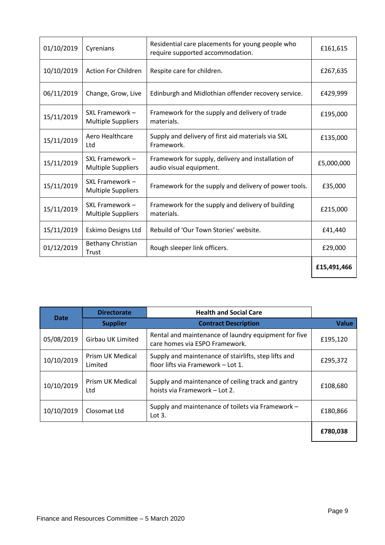| 01/10/2019 | Cyrenians                                    | Residential care placements for young people who<br>require supported accommodation. | £161,615    |
|------------|----------------------------------------------|--------------------------------------------------------------------------------------|-------------|
| 10/10/2019 | <b>Action For Children</b>                   | Respite care for children.                                                           | £267,635    |
| 06/11/2019 | Change, Grow, Live                           | Edinburgh and Midlothian offender recovery service.                                  | £429,999    |
| 15/11/2019 | SXL Framework -<br><b>Multiple Suppliers</b> | Framework for the supply and delivery of trade<br>materials.                         | £195,000    |
| 15/11/2019 | Aero Healthcare<br>Ltd                       | Supply and delivery of first aid materials via SXL<br>Framework.                     | £135,000    |
| 15/11/2019 | SXL Framework -<br><b>Multiple Suppliers</b> | Framework for supply, delivery and installation of<br>audio visual equipment.        | £5,000,000  |
| 15/11/2019 | SXL Framework -<br><b>Multiple Suppliers</b> | Framework for the supply and delivery of power tools.                                | £35,000     |
| 15/11/2019 | SXL Framework -<br><b>Multiple Suppliers</b> | Framework for the supply and delivery of building<br>materials.                      | £215,000    |
| 15/11/2019 | Eskimo Designs Ltd                           | Rebuild of 'Our Town Stories' website.                                               | £41,440     |
| 01/12/2019 | Bethany Christian<br>Trust                   | Rough sleeper link officers.                                                         | £29,000     |
|            |                                              |                                                                                      | £15,491,466 |

| <b>Date</b> | <b>Directorate</b>          | <b>Health and Social Care</b>                                                              |              |
|-------------|-----------------------------|--------------------------------------------------------------------------------------------|--------------|
|             | <b>Supplier</b>             | <b>Contract Description</b>                                                                | <b>Value</b> |
| 05/08/2019  | <b>Girbau UK Limited</b>    | Rental and maintenance of laundry equipment for five<br>care homes via ESPO Framework.     | £195,120     |
| 10/10/2019  | Prism UK Medical<br>Limited | Supply and maintenance of stairlifts, step lifts and<br>floor lifts via Framework - Lot 1. | £295,372     |
| 10/10/2019  | Prism UK Medical<br>Ltd     | Supply and maintenance of ceiling track and gantry<br>hoists via Framework - Lot 2.        | £108,680     |
| 10/10/2019  | Closomat Ltd                | Supply and maintenance of toilets via Framework -<br>Lot $3.$                              | £180,866     |
|             |                             |                                                                                            | £780,038     |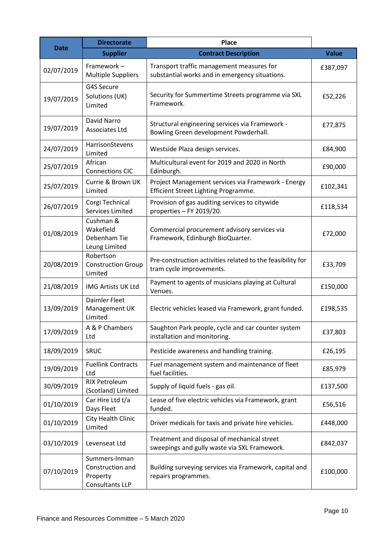| <b>Date</b> | <b>Directorate</b>                                               | <b>Place</b>                                                                                |              |
|-------------|------------------------------------------------------------------|---------------------------------------------------------------------------------------------|--------------|
|             | <b>Supplier</b>                                                  | <b>Contract Description</b>                                                                 | <b>Value</b> |
| 02/07/2019  | Framework-<br><b>Multiple Suppliers</b>                          | Transport traffic management measures for<br>substantial works and in emergency situations. | £387,097     |
| 19/07/2019  | G4S Secure<br>Solutions (UK)<br>Limited                          | Security for Summertime Streets programme via SXL<br>Framework.                             | £52,226      |
| 19/07/2019  | <b>David Narro</b><br><b>Associates Ltd</b>                      | Structural engineering services via Framework -<br>Bowling Green development Powderhall.    | £77,875      |
| 24/07/2019  | HarrisonStevens<br>Limited                                       | Westside Plaza design services.                                                             | £84,900      |
| 25/07/2019  | African<br><b>Connections CIC</b>                                | Multicultural event for 2019 and 2020 in North<br>Edinburgh.                                | £90,000      |
| 25/07/2019  | Currie & Brown UK<br>Limited                                     | Project Management services via Framework - Energy<br>Efficient Street Lighting Programme.  | £102,341     |
| 26/07/2019  | Corgi Technical<br>Services Limited                              | Provision of gas auditing services to citywide<br>properties - FY 2019/20.                  | £118,534     |
| 01/08/2019  | Cushman &<br>Wakefield<br>Debenham Tie<br>Leung Limited          | Commercial procurement advisory services via<br>Framework, Edinburgh BioQuarter.            | £72,000      |
| 20/08/2019  | Robertson<br><b>Construction Group</b><br>Limited                | Pre-construction activities related to the feasibility for<br>tram cycle improvements.      | £33,709      |
| 21/08/2019  | <b>IMG Artists UK Ltd</b>                                        | Payment to agents of musicians playing at Cultural<br>Venues.                               | £150,000     |
| 13/09/2019  | Daimler Fleet<br>Management UK<br>Limited                        | Electric vehicles leased via Framework, grant funded.                                       | £198,535     |
| 17/09/2019  | A & P Chambers<br>Ltd                                            | Saughton Park people, cycle and car counter system<br>installation and monitoring.          | £37,803      |
| 18/09/2019  | SRUC                                                             | Pesticide awareness and handling training.                                                  | £26,195      |
| 19/09/2019  | <b>Fuellink Contracts</b><br>Ltd                                 | Fuel management system and maintenance of fleet<br>fuel facilities.                         | £85,979      |
| 30/09/2019  | <b>RIX Petroleum</b><br>(Scotland) Limited                       | Supply of liquid fuels - gas oil.                                                           | £137,500     |
| 01/10/2019  | Car Hire Ltd t/a<br>Days Fleet                                   | Lease of five electric vehicles via Framework, grant<br>funded.                             | £56,516      |
| 01/10/2019  | City Health Clinic<br>Limited                                    | Driver medicals for taxis and private hire vehicles.                                        | £448,000     |
| 03/10/2019  | Levenseat Ltd                                                    | Treatment and disposal of mechanical street<br>sweepings and gully waste via SXL Framework. | £842,037     |
| 07/10/2019  | Summers-Inman<br>Construction and<br>Property<br>Consultants LLP | Building surveying services via Framework, capital and<br>repairs programmes.               | £100,000     |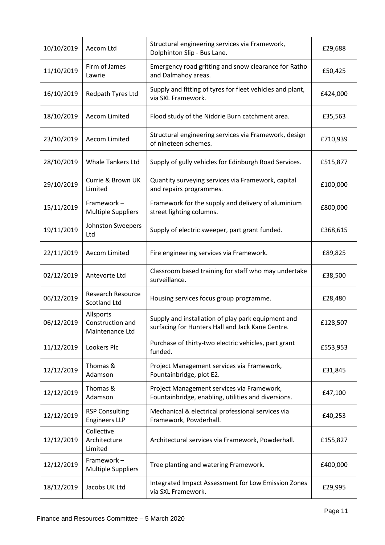| 10/10/2019 | Aecom Ltd                                        | Structural engineering services via Framework,<br>Dolphinton Slip - Bus Lane.                          | £29,688  |
|------------|--------------------------------------------------|--------------------------------------------------------------------------------------------------------|----------|
| 11/10/2019 | Firm of James<br>Lawrie                          | Emergency road gritting and snow clearance for Ratho<br>and Dalmahoy areas.                            | £50,425  |
| 16/10/2019 | Redpath Tyres Ltd                                | Supply and fitting of tyres for fleet vehicles and plant,<br>via SXL Framework.                        | £424,000 |
| 18/10/2019 | <b>Aecom Limited</b>                             | Flood study of the Niddrie Burn catchment area.                                                        | £35,563  |
| 23/10/2019 | <b>Aecom Limited</b>                             | Structural engineering services via Framework, design<br>of nineteen schemes.                          | £710,939 |
| 28/10/2019 | <b>Whale Tankers Ltd</b>                         | Supply of gully vehicles for Edinburgh Road Services.                                                  | £515,877 |
| 29/10/2019 | Currie & Brown UK<br>Limited                     | Quantity surveying services via Framework, capital<br>and repairs programmes.                          | £100,000 |
| 15/11/2019 | Framework-<br><b>Multiple Suppliers</b>          | Framework for the supply and delivery of aluminium<br>street lighting columns.                         | £800,000 |
| 19/11/2019 | Johnston Sweepers<br>Ltd                         | Supply of electric sweeper, part grant funded.                                                         | £368,615 |
| 22/11/2019 | Aecom Limited                                    | Fire engineering services via Framework.                                                               | £89,825  |
| 02/12/2019 | Antevorte Ltd                                    | Classroom based training for staff who may undertake<br>surveillance.                                  | £38,500  |
| 06/12/2019 | <b>Research Resource</b><br><b>Scotland Ltd</b>  | Housing services focus group programme.                                                                | £28,480  |
| 06/12/2019 | Allsports<br>Construction and<br>Maintenance Ltd | Supply and installation of play park equipment and<br>surfacing for Hunters Hall and Jack Kane Centre. | £128,507 |
| 11/12/2019 | Lookers Plc                                      | Purchase of thirty-two electric vehicles, part grant<br>funded.                                        | £553,953 |
| 12/12/2019 | Thomas &<br>Adamson                              | Project Management services via Framework,<br>Fountainbridge, plot E2.                                 | £31,845  |
| 12/12/2019 | Thomas &<br>Adamson                              | Project Management services via Framework,<br>Fountainbridge, enabling, utilities and diversions.      | £47,100  |
| 12/12/2019 | <b>RSP Consulting</b><br><b>Engineers LLP</b>    | Mechanical & electrical professional services via<br>Framework, Powderhall.                            | £40,253  |
| 12/12/2019 | Collective<br>Architecture<br>Limited            | Architectural services via Framework, Powderhall.                                                      | £155,827 |
| 12/12/2019 | Framework-<br><b>Multiple Suppliers</b>          | Tree planting and watering Framework.                                                                  | £400,000 |
| 18/12/2019 | Jacobs UK Ltd                                    | Integrated Impact Assessment for Low Emission Zones<br>via SXL Framework.                              | £29,995  |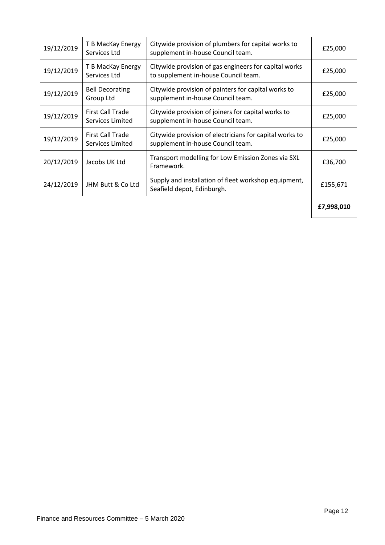| 19/12/2019 | T B MacKay Energy<br>Services Ltd           | Citywide provision of plumbers for capital works to<br>supplement in-house Council team.      | £25,000    |
|------------|---------------------------------------------|-----------------------------------------------------------------------------------------------|------------|
| 19/12/2019 | T B MacKay Energy<br>Services Ltd           | Citywide provision of gas engineers for capital works<br>to supplement in-house Council team. | £25,000    |
| 19/12/2019 | <b>Bell Decorating</b><br>Group Ltd         | Citywide provision of painters for capital works to<br>supplement in-house Council team.      | £25,000    |
| 19/12/2019 | <b>First Call Trade</b><br>Services Limited | Citywide provision of joiners for capital works to<br>supplement in-house Council team.       | £25,000    |
| 19/12/2019 | <b>First Call Trade</b><br>Services Limited | Citywide provision of electricians for capital works to<br>supplement in-house Council team.  | £25,000    |
| 20/12/2019 | Jacobs UK Ltd                               | Transport modelling for Low Emission Zones via SXL<br>Framework.                              | £36,700    |
| 24/12/2019 | JHM Butt & Co Ltd                           | Supply and installation of fleet workshop equipment,<br>Seafield depot, Edinburgh.            | £155,671   |
|            |                                             |                                                                                               | £7,998,010 |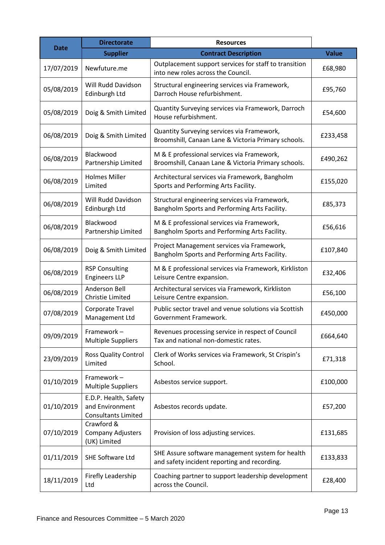| <b>Date</b> | <b>Directorate</b>                                                     | <b>Resources</b>                                                                                  |              |
|-------------|------------------------------------------------------------------------|---------------------------------------------------------------------------------------------------|--------------|
|             | <b>Supplier</b>                                                        | <b>Contract Description</b>                                                                       | <b>Value</b> |
| 17/07/2019  | Newfuture.me                                                           | Outplacement support services for staff to transition<br>into new roles across the Council.       | £68,980      |
| 05/08/2019  | <b>Will Rudd Davidson</b><br>Edinburgh Ltd                             | Structural engineering services via Framework,<br>Darroch House refurbishment.                    | £95,760      |
| 05/08/2019  | Doig & Smith Limited                                                   | Quantity Surveying services via Framework, Darroch<br>House refurbishment.                        | £54,600      |
| 06/08/2019  | Doig & Smith Limited                                                   | Quantity Surveying services via Framework,<br>Broomshill, Canaan Lane & Victoria Primary schools. | £233,458     |
| 06/08/2019  | Blackwood<br>Partnership Limited                                       | M & E professional services via Framework,<br>Broomshill, Canaan Lane & Victoria Primary schools. | £490,262     |
| 06/08/2019  | <b>Holmes Miller</b><br>Limited                                        | Architectural services via Framework, Bangholm<br>Sports and Performing Arts Facility.            | £155,020     |
| 06/08/2019  | Will Rudd Davidson<br>Edinburgh Ltd                                    | Structural engineering services via Framework,<br>Bangholm Sports and Performing Arts Facility.   | £85,373      |
| 06/08/2019  | Blackwood<br>Partnership Limited                                       | M & E professional services via Framework,<br>Bangholm Sports and Performing Arts Facility.       | £56,616      |
| 06/08/2019  | Doig & Smith Limited                                                   | Project Management services via Framework,<br>Bangholm Sports and Performing Arts Facility.       | £107,840     |
| 06/08/2019  | <b>RSP Consulting</b><br><b>Engineers LLP</b>                          | M & E professional services via Framework, Kirkliston<br>Leisure Centre expansion.                | £32,406      |
| 06/08/2019  | Anderson Bell<br>Christie Limited                                      | Architectural services via Framework, Kirkliston<br>Leisure Centre expansion.                     | £56,100      |
| 07/08/2019  | Corporate Travel<br>Management Ltd                                     | Public sector travel and venue solutions via Scottish<br>Government Framework.                    | £450,000     |
| 09/09/2019  | Framework-<br><b>Multiple Suppliers</b>                                | Revenues processing service in respect of Council<br>Tax and national non-domestic rates.         | £664,640     |
| 23/09/2019  | <b>Ross Quality Control</b><br>Limited                                 | Clerk of Works services via Framework, St Crispin's<br>School.                                    | £71,318      |
| 01/10/2019  | Framework-<br><b>Multiple Suppliers</b>                                | Asbestos service support.                                                                         | £100,000     |
| 01/10/2019  | E.D.P. Health, Safety<br>and Environment<br><b>Consultants Limited</b> | Asbestos records update.                                                                          | £57,200      |
| 07/10/2019  | Crawford &<br>Company Adjusters<br>(UK) Limited                        | Provision of loss adjusting services.                                                             | £131,685     |
| 01/11/2019  | SHE Software Ltd                                                       | SHE Assure software management system for health<br>and safety incident reporting and recording.  | £133,833     |
| 18/11/2019  | Firefly Leadership<br>Ltd                                              | Coaching partner to support leadership development<br>across the Council.                         | £28,400      |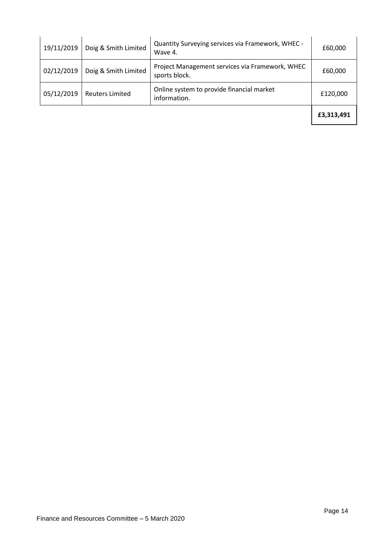| 19/11/2019 | Doig & Smith Limited   | Quantity Surveying services via Framework, WHEC -<br>Wave 4.     | £60,000    |
|------------|------------------------|------------------------------------------------------------------|------------|
| 02/12/2019 | Doig & Smith Limited   | Project Management services via Framework, WHEC<br>sports block. | £60,000    |
| 05/12/2019 | <b>Reuters Limited</b> | Online system to provide financial market<br>information.        | £120,000   |
|            |                        |                                                                  | £3,313,491 |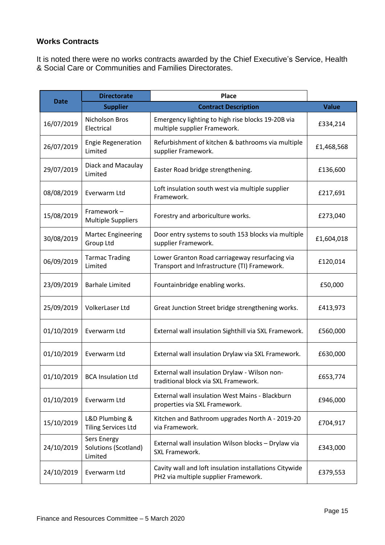#### **Works Contracts**

It is noted there were no works contracts awarded by the Chief Executive's Service, Health & Social Care or Communities and Families Directorates.

|             | <b>Directorate</b>                             | <b>Place</b>                                                                                   |              |
|-------------|------------------------------------------------|------------------------------------------------------------------------------------------------|--------------|
| <b>Date</b> | <b>Supplier</b>                                | <b>Contract Description</b>                                                                    | <b>Value</b> |
| 16/07/2019  | Nicholson Bros<br>Electrical                   | Emergency lighting to high rise blocks 19-20B via<br>multiple supplier Framework.              | £334,214     |
| 26/07/2019  | <b>Engie Regeneration</b><br>Limited           | Refurbishment of kitchen & bathrooms via multiple<br>supplier Framework.                       | £1,468,568   |
| 29/07/2019  | Diack and Macaulay<br>Limited                  | Easter Road bridge strengthening.                                                              | £136,600     |
| 08/08/2019  | Everwarm Ltd                                   | Loft insulation south west via multiple supplier<br>Framework.                                 | £217,691     |
| 15/08/2019  | Framework-<br><b>Multiple Suppliers</b>        | Forestry and arboriculture works.                                                              | £273,040     |
| 30/08/2019  | <b>Martec Engineering</b><br><b>Group Ltd</b>  | Door entry systems to south 153 blocks via multiple<br>supplier Framework.                     | £1,604,018   |
| 06/09/2019  | <b>Tarmac Trading</b><br>Limited               | Lower Granton Road carriageway resurfacing via<br>Transport and Infrastructure (TI) Framework. | £120,014     |
| 23/09/2019  | <b>Barhale Limited</b>                         | Fountainbridge enabling works.                                                                 | £50,000      |
| 25/09/2019  | VolkerLaser Ltd                                | Great Junction Street bridge strengthening works.                                              | £413,973     |
| 01/10/2019  | Everwarm Ltd                                   | External wall insulation Sighthill via SXL Framework.                                          | £560,000     |
| 01/10/2019  | Everwarm Ltd                                   | External wall insulation Drylaw via SXL Framework.                                             | £630,000     |
| 01/10/2019  | <b>BCA Insulation Ltd</b>                      | External wall insulation Drylaw - Wilson non-<br>traditional block via SXL Framework.          | £653,774     |
| 01/10/2019  | Everwarm Ltd                                   | External wall insulation West Mains - Blackburn<br>properties via SXL Framework.               | £946,000     |
| 15/10/2019  | L&D Plumbing &<br><b>Tiling Services Ltd</b>   | Kitchen and Bathroom upgrades North A - 2019-20<br>via Framework.                              | £704,917     |
| 24/10/2019  | Sers Energy<br>Solutions (Scotland)<br>Limited | External wall insulation Wilson blocks - Drylaw via<br><b>SXL Framework.</b>                   | £343,000     |
| 24/10/2019  | Everwarm Ltd                                   | Cavity wall and loft insulation installations Citywide<br>PH2 via multiple supplier Framework. | £379,553     |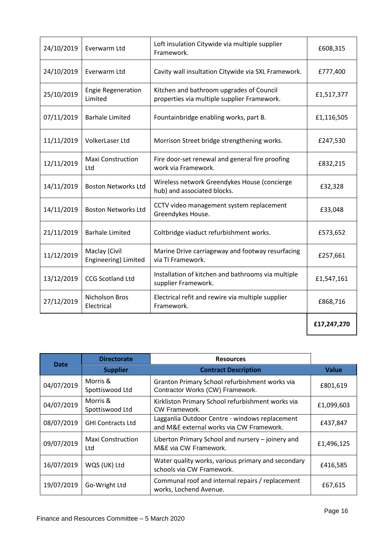| 24/10/2019 | Everwarm Ltd                          | Loft insulation Citywide via multiple supplier<br>Framework.                            | £608,315    |
|------------|---------------------------------------|-----------------------------------------------------------------------------------------|-------------|
| 24/10/2019 | Everwarm Ltd                          | Cavity wall insultation Citywide via SXL Framework.                                     | £777,400    |
| 25/10/2019 | <b>Engie Regeneration</b><br>Limited  | Kitchen and bathroom upgrades of Council<br>properties via multiple supplier Framework. | £1,517,377  |
| 07/11/2019 | <b>Barhale Limited</b>                | Fountainbridge enabling works, part B.                                                  | £1,116,505  |
| 11/11/2019 | VolkerLaser Ltd                       | Morrison Street bridge strengthening works.                                             | £247,530    |
| 12/11/2019 | <b>Maxi Construction</b><br>Ltd       | Fire door-set renewal and general fire proofing<br>work via Framework.                  | £832,215    |
| 14/11/2019 | <b>Boston Networks Ltd</b>            | Wireless network Greendykes House (concierge<br>hub) and associated blocks.             | £32,328     |
| 14/11/2019 | <b>Boston Networks Ltd</b>            | CCTV video management system replacement<br>Greendykes House.                           | £33,048     |
| 21/11/2019 | <b>Barhale Limited</b>                | Coltbridge viaduct refurbishment works.                                                 | £573,652    |
| 11/12/2019 | Maclay (Civil<br>Engineering) Limited | Marine Drive carriageway and footway resurfacing<br>via TI Framework.                   | £257,661    |
| 13/12/2019 | <b>CCG Scotland Ltd</b>               | Installation of kitchen and bathrooms via multiple<br>supplier Framework.               | £1,547,161  |
| 27/12/2019 | Nicholson Bros<br>Electrical          | Electrical refit and rewire via multiple supplier<br>Framework.                         | £868,716    |
|            |                                       |                                                                                         | £17,247,270 |

|             | <b>Directorate</b>              | <b>Resources</b>                                                                           |              |
|-------------|---------------------------------|--------------------------------------------------------------------------------------------|--------------|
| <b>Date</b> | <b>Supplier</b>                 | <b>Contract Description</b>                                                                | <b>Value</b> |
| 04/07/2019  | Morris &<br>Spottiswood Ltd     | Granton Primary School refurbishment works via<br>Contractor Works (CW) Framework.         | £801,619     |
| 04/07/2019  | Morris &<br>Spottiswood Ltd     | Kirkliston Primary School refurbishment works via<br>CW Framework.                         | £1,099,603   |
| 08/07/2019  | <b>GHI Contracts Ltd</b>        | Lagganlia Outdoor Centre - windows replacement<br>and M&E external works via CW Framework. | £437,847     |
| 09/07/2019  | <b>Maxi Construction</b><br>Ltd | Liberton Primary School and nursery - joinery and<br>M&E via CW Framework.                 | £1,496,125   |
| 16/07/2019  | WQS (UK) Ltd                    | Water quality works, various primary and secondary<br>schools via CW Framework.            | £416,585     |
| 19/07/2019  | Go-Wright Ltd                   | Communal roof and internal repairs / replacement<br>works, Lochend Avenue.                 | £67,615      |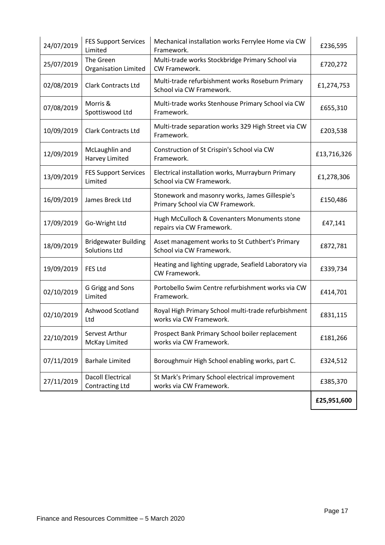| 24/07/2019 | <b>FES Support Services</b><br>Limited              | Mechanical installation works Ferrylee Home via CW<br>Framework.                   | £236,595    |
|------------|-----------------------------------------------------|------------------------------------------------------------------------------------|-------------|
| 25/07/2019 | The Green<br><b>Organisation Limited</b>            | Multi-trade works Stockbridge Primary School via<br>CW Framework.                  | £720,272    |
| 02/08/2019 | <b>Clark Contracts Ltd</b>                          | Multi-trade refurbishment works Roseburn Primary<br>School via CW Framework.       | £1,274,753  |
| 07/08/2019 | Morris &<br>Spottiswood Ltd                         | Multi-trade works Stenhouse Primary School via CW<br>Framework.                    | £655,310    |
| 10/09/2019 | <b>Clark Contracts Ltd</b>                          | Multi-trade separation works 329 High Street via CW<br>Framework.                  | £203,538    |
| 12/09/2019 | McLaughlin and<br>Harvey Limited                    | Construction of St Crispin's School via CW<br>Framework.                           | £13,716,326 |
| 13/09/2019 | <b>FES Support Services</b><br>Limited              | Electrical installation works, Murrayburn Primary<br>School via CW Framework.      | £1,278,306  |
| 16/09/2019 | James Breck Ltd                                     | Stonework and masonry works, James Gillespie's<br>Primary School via CW Framework. | £150,486    |
| 17/09/2019 | Go-Wright Ltd                                       | Hugh McCulloch & Covenanters Monuments stone<br>repairs via CW Framework.          | £47,141     |
| 18/09/2019 | <b>Bridgewater Building</b><br><b>Solutions Ltd</b> | Asset management works to St Cuthbert's Primary<br>School via CW Framework.        | £872,781    |
| 19/09/2019 | <b>FES Ltd</b>                                      | Heating and lighting upgrade, Seafield Laboratory via<br>CW Framework.             | £339,734    |
| 02/10/2019 | G Grigg and Sons<br>Limited                         | Portobello Swim Centre refurbishment works via CW<br>Framework.                    | £414,701    |
| 02/10/2019 | Ashwood Scotland<br>Ltd                             | Royal High Primary School multi-trade refurbishment<br>works via CW Framework.     | £831,115    |
| 22/10/2019 | Servest Arthur<br>McKay Limited                     | Prospect Bank Primary School boiler replacement<br>works via CW Framework.         | £181,266    |
| 07/11/2019 | <b>Barhale Limited</b>                              | Boroughmuir High School enabling works, part C.                                    | £324,512    |
| 27/11/2019 | <b>Dacoll Electrical</b><br><b>Contracting Ltd</b>  | St Mark's Primary School electrical improvement<br>works via CW Framework.         | £385,370    |
|            |                                                     |                                                                                    | £25,951,600 |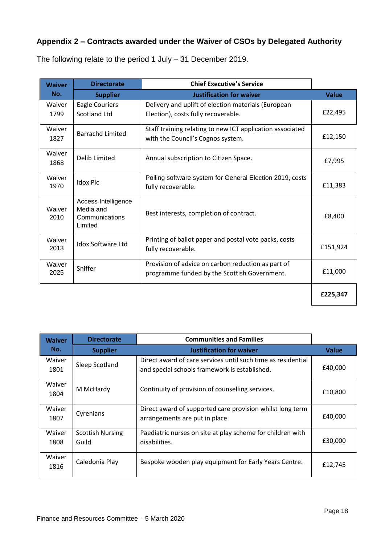# **Appendix 2 – Contracts awarded under the Waiver of CSOs by Delegated Authority**

| <b>Waiver</b>  | <b>Directorate</b>                                            | <b>Chief Executive's Service</b>                                                                   |              |
|----------------|---------------------------------------------------------------|----------------------------------------------------------------------------------------------------|--------------|
| No.            | <b>Supplier</b>                                               | <b>Justification for waiver</b>                                                                    | <b>Value</b> |
| Waiver<br>1799 | <b>Eagle Couriers</b><br><b>Scotland Ltd</b>                  | Delivery and uplift of election materials (European<br>Election), costs fully recoverable.         | £22,495      |
| Waiver<br>1827 | <b>Barrachd Limited</b>                                       | Staff training relating to new ICT application associated<br>with the Council's Cognos system.     | £12,150      |
| Waiver<br>1868 | Delib Limited                                                 | Annual subscription to Citizen Space.                                                              | £7,995       |
| Waiver<br>1970 | <b>Idox Plc</b>                                               | Polling software system for General Election 2019, costs<br>fully recoverable.                     | £11,383      |
| Waiver<br>2010 | Access Intelligence<br>Media and<br>Communications<br>Limited | Best interests, completion of contract.                                                            | £8,400       |
| Waiver<br>2013 | <b>Idox Software Ltd</b>                                      | Printing of ballot paper and postal vote packs, costs<br>fully recoverable.                        | £151,924     |
| Waiver<br>2025 | Sniffer                                                       | Provision of advice on carbon reduction as part of<br>programme funded by the Scottish Government. | £11,000      |
|                |                                                               |                                                                                                    | £225,347     |

The following relate to the period 1 July – 31 December 2019.

| <b>Waiver</b>  | <b>Directorate</b>               | <b>Communities and Families</b>                                                                               |              |
|----------------|----------------------------------|---------------------------------------------------------------------------------------------------------------|--------------|
| No.            | <b>Supplier</b>                  | <b>Justification for waiver</b>                                                                               | <b>Value</b> |
| Waiver<br>1801 | Sleep Scotland                   | Direct award of care services until such time as residential<br>and special schools framework is established. | £40,000      |
| Waiver<br>1804 | M McHardy                        | Continuity of provision of counselling services.                                                              | £10,800      |
| Waiver<br>1807 | Cyrenians                        | Direct award of supported care provision whilst long term<br>arrangements are put in place.                   | £40,000      |
| Waiver<br>1808 | <b>Scottish Nursing</b><br>Guild | Paediatric nurses on site at play scheme for children with<br>disabilities.                                   | £30,000      |
| Waiver<br>1816 | Caledonia Play                   | Bespoke wooden play equipment for Early Years Centre.                                                         | £12,745      |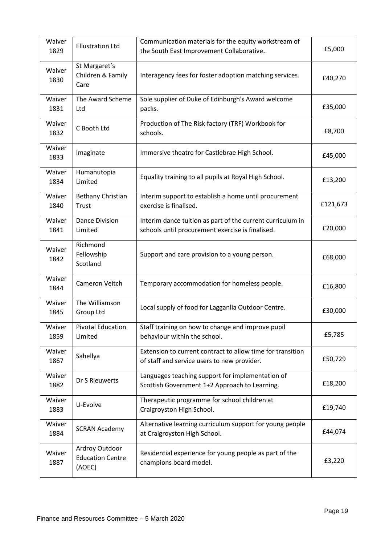| Waiver<br>1829 | <b>Ellustration Ltd</b>                             | Communication materials for the equity workstream of<br>the South East Improvement Collaborative.              | £5,000   |
|----------------|-----------------------------------------------------|----------------------------------------------------------------------------------------------------------------|----------|
| Waiver<br>1830 | St Margaret's<br>Children & Family<br>Care          | Interagency fees for foster adoption matching services.                                                        | £40,270  |
| Waiver<br>1831 | The Award Scheme<br>Ltd                             | Sole supplier of Duke of Edinburgh's Award welcome<br>packs.                                                   | £35,000  |
| Waiver<br>1832 | C Booth Ltd                                         | Production of The Risk factory (TRF) Workbook for<br>schools.                                                  | £8,700   |
| Waiver<br>1833 | Imaginate                                           | Immersive theatre for Castlebrae High School.                                                                  | £45,000  |
| Waiver<br>1834 | Humanutopia<br>Limited                              | Equality training to all pupils at Royal High School.                                                          | £13,200  |
| Waiver<br>1840 | <b>Bethany Christian</b><br>Trust                   | Interim support to establish a home until procurement<br>exercise is finalised.                                | £121,673 |
| Waiver<br>1841 | <b>Dance Division</b><br>Limited                    | Interim dance tuition as part of the current curriculum in<br>schools until procurement exercise is finalised. | £20,000  |
| Waiver<br>1842 | Richmond<br>Fellowship<br>Scotland                  | Support and care provision to a young person.                                                                  | £68,000  |
| Waiver<br>1844 | Cameron Veitch                                      | Temporary accommodation for homeless people.                                                                   | £16,800  |
| Waiver<br>1845 | The Williamson<br>Group Ltd                         | Local supply of food for Lagganlia Outdoor Centre.                                                             | £30,000  |
| Waiver<br>1859 | Pivotal Education<br>Limited                        | Staff training on how to change and improve pupil<br>behaviour within the school.                              | £5,785   |
| Waiver<br>1867 | Sahellya                                            | Extension to current contract to allow time for transition<br>of staff and service users to new provider.      | £50,729  |
| Waiver<br>1882 | Dr S Rieuwerts                                      | Languages teaching support for implementation of<br>Scottish Government 1+2 Approach to Learning.              | £18,200  |
| Waiver<br>1883 | U-Evolve                                            | Therapeutic programme for school children at<br>Craigroyston High School.                                      | £19,740  |
| Waiver<br>1884 | <b>SCRAN Academy</b>                                | Alternative learning curriculum support for young people<br>at Craigroyston High School.                       | £44,074  |
| Waiver<br>1887 | Ardroy Outdoor<br><b>Education Centre</b><br>(AOEC) | Residential experience for young people as part of the<br>champions board model.                               | £3,220   |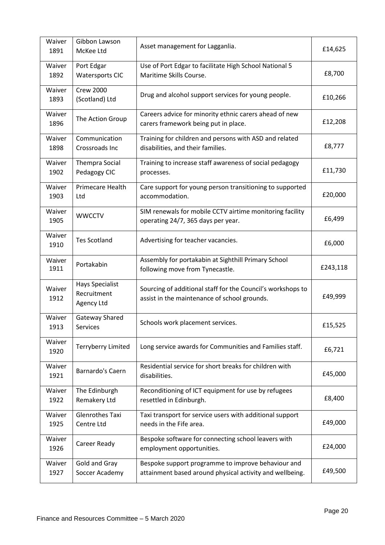| Waiver<br>1891 | Gibbon Lawson<br>McKee Ltd                          | Asset management for Lagganlia.                                                                                | £14,625  |
|----------------|-----------------------------------------------------|----------------------------------------------------------------------------------------------------------------|----------|
| Waiver<br>1892 | Port Edgar<br><b>Watersports CIC</b>                | Use of Port Edgar to facilitate High School National 5<br>Maritime Skills Course.                              | £8,700   |
| Waiver<br>1893 | <b>Crew 2000</b><br>(Scotland) Ltd                  | Drug and alcohol support services for young people.                                                            | £10,266  |
| Waiver<br>1896 | The Action Group                                    | Careers advice for minority ethnic carers ahead of new<br>carers framework being put in place.                 | £12,208  |
| Waiver<br>1898 | Communication<br>Crossroads Inc                     | Training for children and persons with ASD and related<br>disabilities, and their families.                    | £8,777   |
| Waiver<br>1902 | <b>Thempra Social</b><br>Pedagogy CIC               | Training to increase staff awareness of social pedagogy<br>processes.                                          | £11,730  |
| Waiver<br>1903 | Primecare Health<br>Ltd                             | Care support for young person transitioning to supported<br>accommodation.                                     | £20,000  |
| Waiver<br>1905 | <b>WWCCTV</b>                                       | SIM renewals for mobile CCTV airtime monitoring facility<br>operating 24/7, 365 days per year.                 | £6,499   |
| Waiver<br>1910 | <b>Tes Scotland</b>                                 | Advertising for teacher vacancies.                                                                             | £6,000   |
| Waiver<br>1911 | Portakabin                                          | Assembly for portakabin at Sighthill Primary School<br>following move from Tynecastle.                         | £243,118 |
| Waiver<br>1912 | <b>Hays Specialist</b><br>Recruitment<br>Agency Ltd | Sourcing of additional staff for the Council's workshops to<br>assist in the maintenance of school grounds.    | £49,999  |
| Waiver<br>1913 | Gateway Shared<br>Services                          | Schools work placement services.                                                                               | £15,525  |
| Waiver<br>1920 | <b>Terryberry Limited</b>                           | Long service awards for Communities and Families staff.                                                        | £6,721   |
| Waiver<br>1921 | Barnardo's Caern                                    | Residential service for short breaks for children with<br>disabilities.                                        | £45,000  |
| Waiver<br>1922 | The Edinburgh<br>Remakery Ltd                       | Reconditioning of ICT equipment for use by refugees<br>resettled in Edinburgh.                                 | £8,400   |
| Waiver<br>1925 | <b>Glenrothes Taxi</b><br>Centre Ltd                | Taxi transport for service users with additional support<br>needs in the Fife area.                            | £49,000  |
| Waiver<br>1926 | Career Ready                                        | Bespoke software for connecting school leavers with<br>employment opportunities.                               | £24,000  |
| Waiver<br>1927 | Gold and Gray<br>Soccer Academy                     | Bespoke support programme to improve behaviour and<br>attainment based around physical activity and wellbeing. | £49,500  |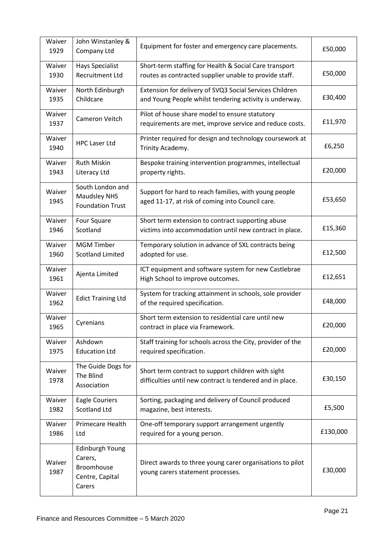| Waiver<br>1929 | John Winstanley &<br>Company Ltd                                             | Equipment for foster and emergency care placements.                                                                | £50,000  |
|----------------|------------------------------------------------------------------------------|--------------------------------------------------------------------------------------------------------------------|----------|
| Waiver<br>1930 | <b>Hays Specialist</b><br><b>Recruitment Ltd</b>                             | Short-term staffing for Health & Social Care transport<br>routes as contracted supplier unable to provide staff.   | £50,000  |
| Waiver<br>1935 | North Edinburgh<br>Childcare                                                 | Extension for delivery of SVQ3 Social Services Children<br>and Young People whilst tendering activity is underway. | £30,400  |
| Waiver<br>1937 | Cameron Veitch                                                               | Pilot of house share model to ensure statutory<br>requirements are met, improve service and reduce costs.          | £11,970  |
| Waiver<br>1940 | <b>HPC Laser Ltd</b>                                                         | Printer required for design and technology coursework at<br>Trinity Academy.                                       | £6,250   |
| Waiver<br>1943 | <b>Ruth Miskin</b><br>Literacy Ltd                                           | Bespoke training intervention programmes, intellectual<br>property rights.                                         | £20,000  |
| Waiver<br>1945 | South London and<br><b>Maudsley NHS</b><br><b>Foundation Trust</b>           | Support for hard to reach families, with young people<br>aged 11-17, at risk of coming into Council care.          | £53,650  |
| Waiver<br>1946 | Four Square<br>Scotland                                                      | Short term extension to contract supporting abuse<br>victims into accommodation until new contract in place.       | £15,360  |
| Waiver<br>1960 | <b>MGM Timber</b><br><b>Scotland Limited</b>                                 | Temporary solution in advance of SXL contracts being<br>adopted for use.                                           | £12,500  |
| Waiver<br>1961 | Ajenta Limited                                                               | ICT equipment and software system for new Castlebrae<br>High School to improve outcomes.                           | £12,651  |
| Waiver<br>1962 | <b>Edict Training Ltd</b>                                                    | System for tracking attainment in schools, sole provider<br>of the required specification.                         | £48,000  |
| Waiver<br>1965 | Cyrenians                                                                    | Short term extension to residential care until new<br>contract in place via Framework.                             | £20,000  |
| Waiver<br>1975 | Ashdown<br><b>Education Ltd</b>                                              | Staff training for schools across the City, provider of the<br>required specification.                             | £20,000  |
| Waiver<br>1978 | The Guide Dogs for<br>The Blind<br>Association                               | Short term contract to support children with sight<br>difficulties until new contract is tendered and in place.    | £30,150  |
| Waiver<br>1982 | Eagle Couriers<br><b>Scotland Ltd</b>                                        | Sorting, packaging and delivery of Council produced<br>magazine, best interests.                                   | £5,500   |
| Waiver<br>1986 | Primecare Health<br>Ltd                                                      | One-off temporary support arrangement urgently<br>required for a young person.                                     | £130,000 |
| Waiver<br>1987 | Edinburgh Young<br>Carers,<br><b>Broomhouse</b><br>Centre, Capital<br>Carers | Direct awards to three young carer organisations to pilot<br>young carers statement processes.                     | £30,000  |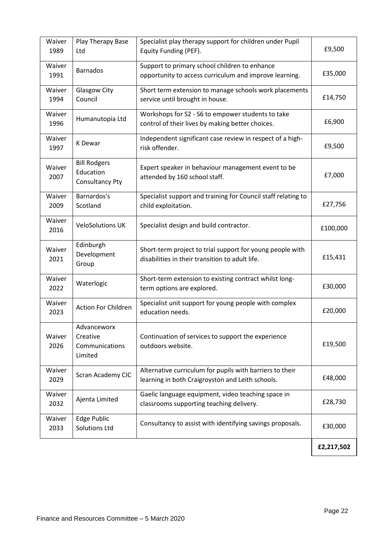| Waiver<br>1989 | Play Therapy Base<br>Ltd                                   | Specialist play therapy support for children under Pupil<br>Equity Funding (PEF).                            | £9,500     |
|----------------|------------------------------------------------------------|--------------------------------------------------------------------------------------------------------------|------------|
| Waiver<br>1991 | <b>Barnados</b>                                            | Support to primary school children to enhance<br>opportunity to access curriculum and improve learning.      | £35,000    |
| Waiver<br>1994 | <b>Glasgow City</b><br>Council                             | Short term extension to manage schools work placements<br>service until brought in house.                    | £14,750    |
| Waiver<br>1996 | Humanutopia Ltd                                            | Workshops for S2 - S6 to empower students to take<br>control of their lives by making better choices.        | £6,900     |
| Waiver<br>1997 | K Dewar                                                    | Independent significant case review in respect of a high-<br>risk offender.                                  | £9,500     |
| Waiver<br>2007 | <b>Bill Rodgers</b><br>Education<br><b>Consultancy Pty</b> | Expert speaker in behaviour management event to be<br>attended by 160 school staff.                          | £7,000     |
| Waiver<br>2009 | Barnardos's<br>Scotland                                    | Specialist support and training for Council staff relating to<br>child exploitation.                         | £27,756    |
| Waiver<br>2016 | <b>VeloSolutions UK</b>                                    | Specialist design and build contractor.                                                                      | £100,000   |
| Waiver<br>2021 | Edinburgh<br>Development<br>Group                          | Short-term project to trial support for young people with<br>disabilities in their transition to adult life. | £15,431    |
| Waiver<br>2022 | Waterlogic                                                 | Short-term extension to existing contract whilst long-<br>term options are explored.                         | £30,000    |
| Waiver<br>2023 | <b>Action For Children</b>                                 | Specialist unit support for young people with complex<br>education needs.                                    | £20,000    |
| Waiver<br>2026 | Advanceworx<br>Creative<br>Communications<br>Limited       | Continuation of services to support the experience<br>outdoors website.                                      | £19,500    |
| Waiver<br>2029 | Scran Academy CIC                                          | Alternative curriculum for pupils with barriers to their<br>learning in both Craigroyston and Leith schools. | £48,000    |
| Waiver<br>2032 | Ajenta Limited                                             | Gaelic language equipment, video teaching space in<br>classrooms supporting teaching delivery.               | £28,730    |
| Waiver<br>2033 | Edge Public<br><b>Solutions Ltd</b>                        | Consultancy to assist with identifying savings proposals.                                                    | £30,000    |
|                |                                                            |                                                                                                              | £2,217,502 |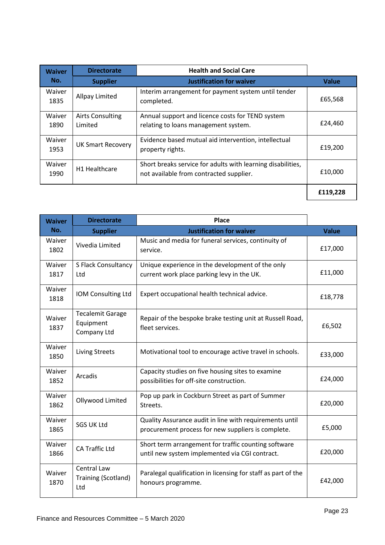| <b>Waiver</b>  | <b>Directorate</b>                 | <b>Health and Social Care</b>                                                                          |              |
|----------------|------------------------------------|--------------------------------------------------------------------------------------------------------|--------------|
| No.            | <b>Supplier</b>                    | <b>Justification for waiver</b>                                                                        | <b>Value</b> |
| Waiver<br>1835 | Allpay Limited                     | Interim arrangement for payment system until tender<br>completed.                                      | £65,568      |
| Waiver<br>1890 | <b>Airts Consulting</b><br>Limited | Annual support and licence costs for TEND system<br>relating to loans management system.               | £24,460      |
| Waiver<br>1953 | <b>UK Smart Recovery</b>           | Evidence based mutual aid intervention, intellectual<br>property rights.                               | £19,200      |
| Waiver<br>1990 | H <sub>1</sub> Healthcare          | Short breaks service for adults with learning disabilities,<br>not available from contracted supplier. | £10.000      |
|                |                                    |                                                                                                        | £119,228     |

| <b>Waiver</b>  | <b>Directorate</b>                                  | Place                                                                                                         |              |
|----------------|-----------------------------------------------------|---------------------------------------------------------------------------------------------------------------|--------------|
| No.            | <b>Supplier</b>                                     | <b>Justification for waiver</b>                                                                               | <b>Value</b> |
| Waiver<br>1802 | Vivedia Limited                                     | Music and media for funeral services, continuity of<br>service.                                               | £17,000      |
| Waiver<br>1817 | S Flack Consultancy<br>Ltd                          | Unique experience in the development of the only<br>current work place parking levy in the UK.                | £11,000      |
| Waiver<br>1818 | IOM Consulting Ltd                                  | Expert occupational health technical advice.                                                                  | £18,778      |
| Waiver<br>1837 | <b>Tecalemit Garage</b><br>Equipment<br>Company Ltd | Repair of the bespoke brake testing unit at Russell Road,<br>fleet services.                                  | £6,502       |
| Waiver<br>1850 | <b>Living Streets</b>                               | Motivational tool to encourage active travel in schools.                                                      | £33,000      |
| Waiver<br>1852 | Arcadis                                             | Capacity studies on five housing sites to examine<br>possibilities for off-site construction.                 | £24,000      |
| Waiver<br>1862 | Ollywood Limited                                    | Pop up park in Cockburn Street as part of Summer<br>Streets.                                                  | £20,000      |
| Waiver<br>1865 | <b>SGS UK Ltd</b>                                   | Quality Assurance audit in line with requirements until<br>procurement process for new suppliers is complete. | £5,000       |
| Waiver<br>1866 | CA Traffic Ltd                                      | Short term arrangement for traffic counting software<br>until new system implemented via CGI contract.        | £20,000      |
| Waiver<br>1870 | <b>Central Law</b><br>Training (Scotland)<br>Ltd    | Paralegal qualification in licensing for staff as part of the<br>honours programme.                           | £42,000      |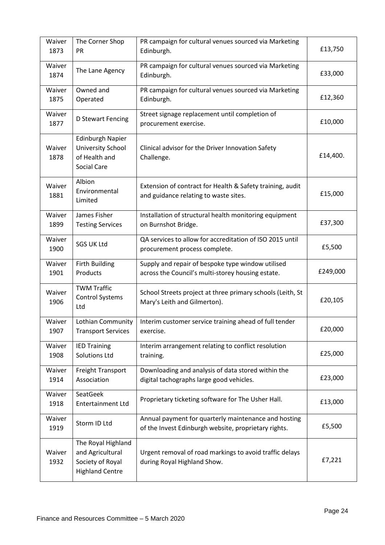| Waiver<br>1873 | The Corner Shop<br><b>PR</b>                                                               | PR campaign for cultural venues sourced via Marketing<br>Edinburgh.                                          | £13,750  |
|----------------|--------------------------------------------------------------------------------------------|--------------------------------------------------------------------------------------------------------------|----------|
| Waiver<br>1874 | The Lane Agency                                                                            | PR campaign for cultural venues sourced via Marketing<br>Edinburgh.                                          | £33,000  |
| Waiver<br>1875 | Owned and<br>Operated                                                                      | PR campaign for cultural venues sourced via Marketing<br>Edinburgh.                                          | £12,360  |
| Waiver<br>1877 | D Stewart Fencing                                                                          | Street signage replacement until completion of<br>procurement exercise.                                      | £10,000  |
| Waiver<br>1878 | <b>Edinburgh Napier</b><br><b>University School</b><br>of Health and<br><b>Social Care</b> | Clinical advisor for the Driver Innovation Safety<br>Challenge.                                              | £14,400. |
| Waiver<br>1881 | Albion<br>Environmental<br>Limited                                                         | Extension of contract for Health & Safety training, audit<br>and guidance relating to waste sites.           | £15,000  |
| Waiver<br>1899 | James Fisher<br><b>Testing Services</b>                                                    | Installation of structural health monitoring equipment<br>on Burnshot Bridge.                                | £37,300  |
| Waiver<br>1900 | <b>SGS UK Ltd</b>                                                                          | QA services to allow for accreditation of ISO 2015 until<br>procurement process complete.                    | £5,500   |
| Waiver<br>1901 | <b>Firth Building</b><br>Products                                                          | Supply and repair of bespoke type window utilised<br>across the Council's multi-storey housing estate.       | £249,000 |
| Waiver<br>1906 | <b>TWM Traffic</b><br><b>Control Systems</b><br>Ltd                                        | School Streets project at three primary schools (Leith, St<br>Mary's Leith and Gilmerton).                   | £20,105  |
| Waiver<br>1907 | Lothian Community<br><b>Transport Services</b>                                             | Interim customer service training ahead of full tender<br>exercise.                                          | £20,000  |
| Waiver<br>1908 | <b>IED Training</b><br><b>Solutions Ltd</b>                                                | Interim arrangement relating to conflict resolution<br>training.                                             | £25,000  |
| Waiver<br>1914 | <b>Freight Transport</b><br>Association                                                    | Downloading and analysis of data stored within the<br>digital tachographs large good vehicles.               | £23,000  |
| Waiver<br>1918 | SeatGeek<br><b>Entertainment Ltd</b>                                                       | Proprietary ticketing software for The Usher Hall.                                                           | £13,000  |
| Waiver<br>1919 | Storm ID Ltd                                                                               | Annual payment for quarterly maintenance and hosting<br>of the Invest Edinburgh website, proprietary rights. | £5,500   |
| Waiver<br>1932 | The Royal Highland<br>and Agricultural<br>Society of Royal<br><b>Highland Centre</b>       | Urgent removal of road markings to avoid traffic delays<br>during Royal Highland Show.                       | £7,221   |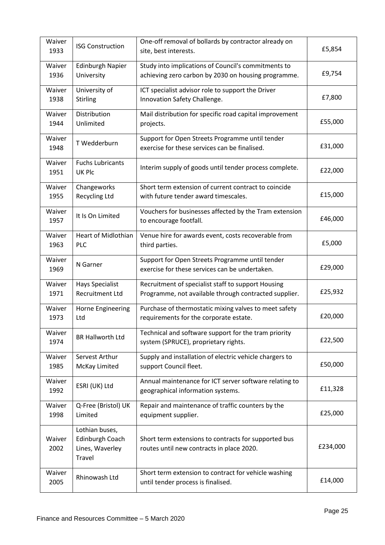| Waiver<br>1933 | <b>ISG Construction</b>                                        | One-off removal of bollards by contractor already on<br>site, best interests.                     | £5,854   |
|----------------|----------------------------------------------------------------|---------------------------------------------------------------------------------------------------|----------|
| Waiver         | <b>Edinburgh Napier</b>                                        | Study into implications of Council's commitments to                                               | £9,754   |
| 1936           | University                                                     | achieving zero carbon by 2030 on housing programme.                                               |          |
| Waiver         | University of                                                  | ICT specialist advisor role to support the Driver                                                 | £7,800   |
| 1938           | Stirling                                                       | Innovation Safety Challenge.                                                                      |          |
| Waiver         | Distribution                                                   | Mail distribution for specific road capital improvement                                           | £55,000  |
| 1944           | Unlimited                                                      | projects.                                                                                         |          |
| Waiver<br>1948 | T Wedderburn                                                   | Support for Open Streets Programme until tender<br>exercise for these services can be finalised.  | £31,000  |
| Waiver<br>1951 | <b>Fuchs Lubricants</b><br><b>UK Plc</b>                       | Interim supply of goods until tender process complete.                                            | £22,000  |
| Waiver         | Changeworks                                                    | Short term extension of current contract to coincide                                              | £15,000  |
| 1955           | <b>Recycling Ltd</b>                                           | with future tender award timescales.                                                              |          |
| Waiver<br>1957 | It Is On Limited                                               | Vouchers for businesses affected by the Tram extension<br>to encourage footfall.                  | £46,000  |
| Waiver         | <b>Heart of Midlothian</b>                                     | Venue hire for awards event, costs recoverable from                                               | £5,000   |
| 1963           | <b>PLC</b>                                                     | third parties.                                                                                    |          |
| Waiver<br>1969 | N Garner                                                       | Support for Open Streets Programme until tender<br>exercise for these services can be undertaken. | £29,000  |
| Waiver         | <b>Hays Specialist</b>                                         | Recruitment of specialist staff to support Housing                                                | £25,932  |
| 1971           | <b>Recruitment Ltd</b>                                         | Programme, not available through contracted supplier.                                             |          |
| Waiver         | Horne Engineering                                              | Purchase of thermostatic mixing valves to meet safety                                             | £20,000  |
| 1973           | Ltd                                                            | requirements for the corporate estate.                                                            |          |
| Waiver<br>1974 | <b>BR Hallworth Ltd</b>                                        | Technical and software support for the tram priority<br>system (SPRUCE), proprietary rights.      | £22,500  |
| Waiver         | Servest Arthur                                                 | Supply and installation of electric vehicle chargers to                                           | £50,000  |
| 1985           | McKay Limited                                                  | support Council fleet.                                                                            |          |
| Waiver<br>1992 | ESRI (UK) Ltd                                                  | Annual maintenance for ICT server software relating to<br>geographical information systems.       | £11,328  |
| Waiver         | Q-Free (Bristol) UK                                            | Repair and maintenance of traffic counters by the                                                 | £25,000  |
| 1998           | Limited                                                        | equipment supplier.                                                                               |          |
| Waiver<br>2002 | Lothian buses,<br>Edinburgh Coach<br>Lines, Waverley<br>Travel | Short term extensions to contracts for supported bus<br>routes until new contracts in place 2020. | £234,000 |
| Waiver<br>2005 | Rhinowash Ltd                                                  | Short term extension to contract for vehicle washing<br>until tender process is finalised.        | £14,000  |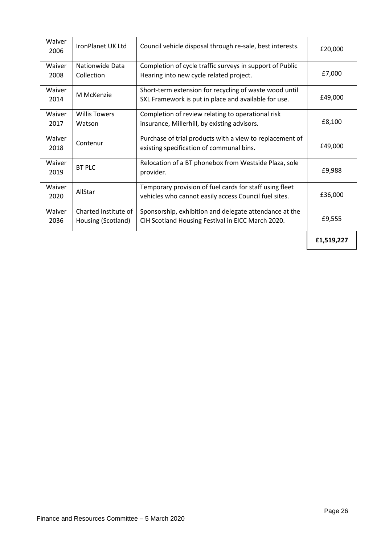| Waiver<br>2006 | IronPlanet UK Ltd                          | Council vehicle disposal through re-sale, best interests.                                                        | £20,000    |
|----------------|--------------------------------------------|------------------------------------------------------------------------------------------------------------------|------------|
| Waiver<br>2008 | Nationwide Data<br>Collection              | Completion of cycle traffic surveys in support of Public<br>Hearing into new cycle related project.              | £7,000     |
| Waiver<br>2014 | M McKenzie                                 | Short-term extension for recycling of waste wood until<br>SXL Framework is put in place and available for use.   | £49,000    |
| Waiver<br>2017 | <b>Willis Towers</b><br>Watson             | Completion of review relating to operational risk<br>insurance, Millerhill, by existing advisors.                | £8,100     |
| Waiver<br>2018 | Contenur                                   | Purchase of trial products with a view to replacement of<br>existing specification of communal bins.             | £49,000    |
| Waiver<br>2019 | <b>BT PLC</b>                              | Relocation of a BT phonebox from Westside Plaza, sole<br>provider.                                               | £9,988     |
| Waiver<br>2020 | AllStar                                    | Temporary provision of fuel cards for staff using fleet<br>vehicles who cannot easily access Council fuel sites. | £36,000    |
| Waiver<br>2036 | Charted Institute of<br>Housing (Scotland) | Sponsorship, exhibition and delegate attendance at the<br>CIH Scotland Housing Festival in EICC March 2020.      | £9,555     |
|                |                                            |                                                                                                                  | £1,519,227 |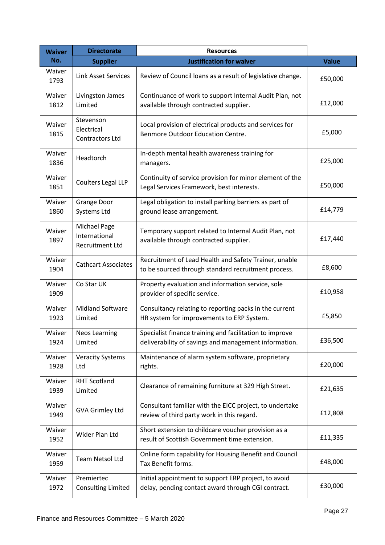| <b>Waiver</b>  | <b>Directorate</b>                                      | <b>Resources</b>                                                                                                 |              |
|----------------|---------------------------------------------------------|------------------------------------------------------------------------------------------------------------------|--------------|
| No.            | <b>Supplier</b>                                         | <b>Justification for waiver</b>                                                                                  | <b>Value</b> |
| Waiver<br>1793 | <b>Link Asset Services</b>                              | Review of Council loans as a result of legislative change.                                                       | £50,000      |
| Waiver<br>1812 | Livingston James<br>Limited                             | Continuance of work to support Internal Audit Plan, not<br>available through contracted supplier.                | £12,000      |
| Waiver<br>1815 | Stevenson<br>Electrical<br><b>Contractors Ltd</b>       | Local provision of electrical products and services for<br>Benmore Outdoor Education Centre.                     | £5,000       |
| Waiver<br>1836 | Headtorch                                               | In-depth mental health awareness training for<br>managers.                                                       | £25,000      |
| Waiver<br>1851 | Coulters Legal LLP                                      | Continuity of service provision for minor element of the<br>Legal Services Framework, best interests.            | £50,000      |
| Waiver<br>1860 | <b>Grange Door</b><br>Systems Ltd                       | Legal obligation to install parking barriers as part of<br>ground lease arrangement.                             | £14,779      |
| Waiver<br>1897 | Michael Page<br>International<br><b>Recruitment Ltd</b> | Temporary support related to Internal Audit Plan, not<br>available through contracted supplier.                  | £17,440      |
| Waiver<br>1904 | <b>Cathcart Associates</b>                              | Recruitment of Lead Health and Safety Trainer, unable<br>to be sourced through standard recruitment process.     | £8,600       |
| Waiver<br>1909 | Co Star UK                                              | Property evaluation and information service, sole<br>provider of specific service.                               | £10,958      |
| Waiver<br>1923 | <b>Midland Software</b><br>Limited                      | Consultancy relating to reporting packs in the current<br>HR system for improvements to ERP System.              | £5,850       |
| Waiver<br>1924 | <b>Neos Learning</b><br>Limited                         | Specialist finance training and facilitation to improve<br>deliverability of savings and management information. | £36,500      |
| Waiver<br>1928 | <b>Veracity Systems</b><br>Ltd                          | Maintenance of alarm system software, proprietary<br>rights.                                                     | £20,000      |
| Waiver<br>1939 | <b>RHT Scotland</b><br>Limited                          | Clearance of remaining furniture at 329 High Street.                                                             | £21,635      |
| Waiver<br>1949 | <b>GVA Grimley Ltd</b>                                  | Consultant familiar with the EICC project, to undertake<br>review of third party work in this regard.            | £12,808      |
| Waiver<br>1952 | Wider Plan Ltd                                          | Short extension to childcare voucher provision as a<br>result of Scottish Government time extension.             | £11,335      |
| Waiver<br>1959 | Team Netsol Ltd                                         | Online form capability for Housing Benefit and Council<br>Tax Benefit forms.                                     | £48,000      |
| Waiver<br>1972 | Premiertec<br><b>Consulting Limited</b>                 | Initial appointment to support ERP project, to avoid<br>delay, pending contact award through CGI contract.       | £30,000      |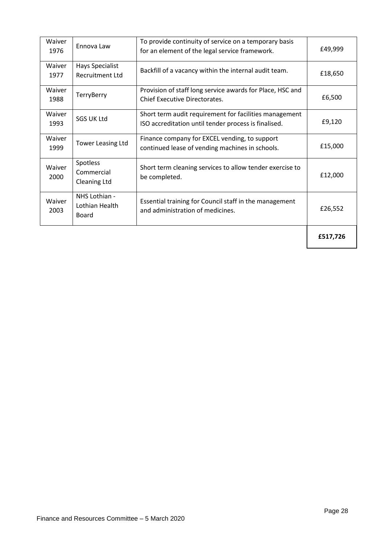| Waiver<br>1976 | Ennova Law                                       | To provide continuity of service on a temporary basis<br>for an element of the legal service framework.        | £49,999  |
|----------------|--------------------------------------------------|----------------------------------------------------------------------------------------------------------------|----------|
| Waiver<br>1977 | <b>Hays Specialist</b><br><b>Recruitment Ltd</b> | Backfill of a vacancy within the internal audit team.                                                          | £18,650  |
| Waiver<br>1988 | <b>TerryBerry</b>                                | Provision of staff long service awards for Place, HSC and<br><b>Chief Executive Directorates.</b>              | £6,500   |
| Waiver<br>1993 | <b>SGS UK Ltd</b>                                | Short term audit requirement for facilities management<br>ISO accreditation until tender process is finalised. | £9,120   |
| Waiver<br>1999 | <b>Tower Leasing Ltd</b>                         | Finance company for EXCEL vending, to support<br>continued lease of vending machines in schools.               | £15,000  |
| Waiver<br>2000 | Spotless<br>Commercial<br><b>Cleaning Ltd</b>    | Short term cleaning services to allow tender exercise to<br>be completed.                                      | £12,000  |
| Waiver<br>2003 | NHS Lothian -<br>Lothian Health<br>Board         | Essential training for Council staff in the management<br>and administration of medicines.                     | £26,552  |
|                |                                                  |                                                                                                                | £517,726 |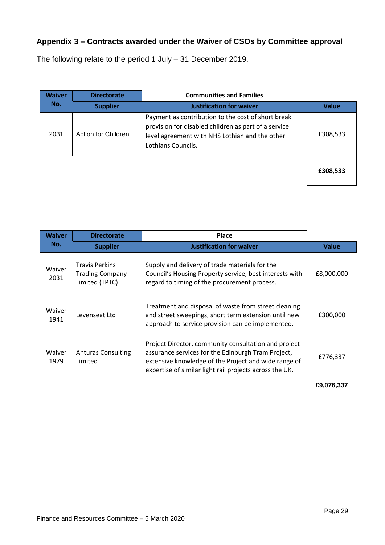# **Appendix 3 – Contracts awarded under the Waiver of CSOs by Committee approval**

The following relate to the period 1 July – 31 December 2019.

| Waiver | <b>Directorate</b>  | <b>Communities and Families</b>                                                                                                                                                    |              |
|--------|---------------------|------------------------------------------------------------------------------------------------------------------------------------------------------------------------------------|--------------|
| No.    | <b>Supplier</b>     | <b>Justification for waiver</b>                                                                                                                                                    | <b>Value</b> |
| 2031   | Action for Children | Payment as contribution to the cost of short break<br>provision for disabled children as part of a service<br>level agreement with NHS Lothian and the other<br>Lothians Councils. | £308,533     |
|        |                     |                                                                                                                                                                                    | £308,533     |

| <b>Waiver</b>  | <b>Directorate</b>                                                | <b>Place</b>                                                                                                                                                                                                                  |              |
|----------------|-------------------------------------------------------------------|-------------------------------------------------------------------------------------------------------------------------------------------------------------------------------------------------------------------------------|--------------|
| No.            | <b>Supplier</b>                                                   | <b>Justification for waiver</b>                                                                                                                                                                                               | <b>Value</b> |
| Waiver<br>2031 | <b>Travis Perkins</b><br><b>Trading Company</b><br>Limited (TPTC) | Supply and delivery of trade materials for the<br>Council's Housing Property service, best interests with<br>regard to timing of the procurement process.                                                                     | £8,000,000   |
| Waiver<br>1941 | Levenseat Ltd                                                     | Treatment and disposal of waste from street cleaning<br>and street sweepings, short term extension until new<br>approach to service provision can be implemented.                                                             | £300,000     |
| Waiver<br>1979 | <b>Anturas Consulting</b><br>Limited                              | Project Director, community consultation and project<br>assurance services for the Edinburgh Tram Project,<br>extensive knowledge of the Project and wide range of<br>expertise of similar light rail projects across the UK. | £776,337     |
|                |                                                                   |                                                                                                                                                                                                                               | £9,076,337   |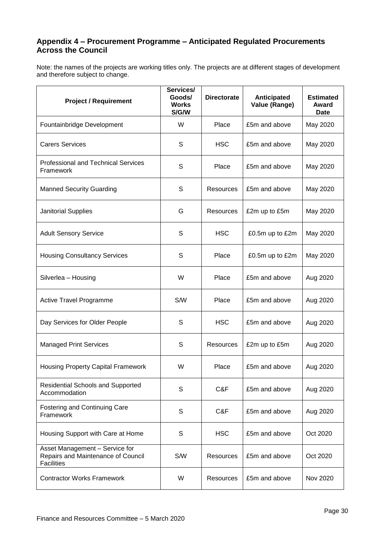#### **Appendix 4 – Procurement Programme – Anticipated Regulated Procurements Across the Council**

Note: the names of the projects are working titles only. The projects are at different stages of development and therefore subject to change.

| <b>Project / Requirement</b>                                                              | Services/<br>Goods/<br><b>Works</b><br>S/G/W | <b>Directorate</b> | Anticipated<br>Value (Range) | <b>Estimated</b><br>Award<br><b>Date</b> |
|-------------------------------------------------------------------------------------------|----------------------------------------------|--------------------|------------------------------|------------------------------------------|
| Fountainbridge Development                                                                | W                                            | Place              | £5m and above                | May 2020                                 |
| <b>Carers Services</b>                                                                    | S                                            | <b>HSC</b>         | £5m and above                | May 2020                                 |
| <b>Professional and Technical Services</b><br>Framework                                   | S                                            | Place              | £5m and above                | May 2020                                 |
| <b>Manned Security Guarding</b>                                                           | S                                            | Resources          | £5m and above                | May 2020                                 |
| <b>Janitorial Supplies</b>                                                                | G                                            | Resources          | £2m up to £5m                | May 2020                                 |
| <b>Adult Sensory Service</b>                                                              | S                                            | <b>HSC</b>         | £0.5m up to £2m              | May 2020                                 |
| <b>Housing Consultancy Services</b>                                                       | S                                            | Place              | £0.5m up to £2m              | May 2020                                 |
| Silverlea - Housing                                                                       | W                                            | Place              | £5m and above                | Aug 2020                                 |
| <b>Active Travel Programme</b>                                                            | S/W                                          | Place              | £5m and above                | Aug 2020                                 |
| Day Services for Older People                                                             | S                                            | <b>HSC</b>         | £5m and above                | Aug 2020                                 |
| <b>Managed Print Services</b>                                                             | S                                            | Resources          | £2m up to £5m                | Aug 2020                                 |
| <b>Housing Property Capital Framework</b>                                                 | W                                            | Place              | £5m and above                | Aug 2020                                 |
| <b>Residential Schools and Supported</b><br>Accommodation                                 | S                                            | C&F                | £5m and above                | Aug 2020                                 |
| <b>Fostering and Continuing Care</b><br>Framework                                         | S                                            | C&F                | £5m and above                | Aug 2020                                 |
| Housing Support with Care at Home                                                         | $\mathbb S$                                  | <b>HSC</b>         | £5m and above                | Oct 2020                                 |
| Asset Management - Service for<br>Repairs and Maintenance of Council<br><b>Facilities</b> | S/W                                          | Resources          | £5m and above                | Oct 2020                                 |
| <b>Contractor Works Framework</b>                                                         | W                                            | Resources          | £5m and above                | Nov 2020                                 |